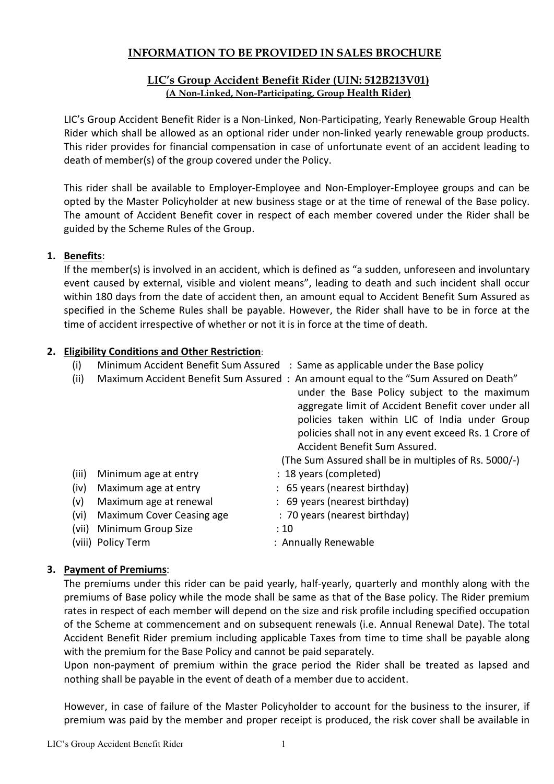## INFORMATION TO BE PROVIDED IN SALES BROCHURE

## LIC's Group Accident Benefit Rider (UIN: 512B213V01) (A Non-Linked, Non-Participating, Group Health Rider)

LIC's Group Accident Benefit Rider is a Non-Linked, Non-Participating, Yearly Renewable Group Health Rider which shall be allowed as an optional rider under non-linked yearly renewable group products. This rider provides for financial compensation in case of unfortunate event of an accident leading to death of member(s) of the group covered under the Policy.

This rider shall be available to Employer-Employee and Non-Employer-Employee groups and can be opted by the Master Policyholder at new business stage or at the time of renewal of the Base policy. The amount of Accident Benefit cover in respect of each member covered under the Rider shall be guided by the Scheme Rules of the Group.

## 1. Benefits:

If the member(s) is involved in an accident, which is defined as "a sudden, unforeseen and involuntary event caused by external, visible and violent means", leading to death and such incident shall occur within 180 days from the date of accident then, an amount equal to Accident Benefit Sum Assured as specified in the Scheme Rules shall be payable. However, the Rider shall have to be in force at the time of accident irrespective of whether or not it is in force at the time of death.

#### 2. Eligibility Conditions and Other Restriction:

- (i) Minimum Accident Benefit Sum Assured : Same as applicable under the Base policy
- (ii) Maximum Accident Benefit Sum Assured : An amount equal to the "Sum Assured on Death" under the Base Policy subject to the maximum aggregate limit of Accident Benefit cover under all policies taken within LIC of India under Group policies shall not in any event exceed Rs. 1 Crore of Accident Benefit Sum Assured. (The Sum Assured shall be in multiples of Rs. 5000/-) (iii) Minimum age at entry : 18 years (completed)
- (iv) Maximum age at entry : 65 years (nearest birthday)
- (v) Maximum age at renewal : 69 years (nearest birthday)
- (vi) Maximum Cover Ceasing age : 70 years (nearest birthday)
- (vii) Minimum Group Size : 10
- (viii) Policy Term : Annually Renewable
- 

## 3. Payment of Premiums:

The premiums under this rider can be paid yearly, half-yearly, quarterly and monthly along with the premiums of Base policy while the mode shall be same as that of the Base policy. The Rider premium rates in respect of each member will depend on the size and risk profile including specified occupation of the Scheme at commencement and on subsequent renewals (i.e. Annual Renewal Date). The total Accident Benefit Rider premium including applicable Taxes from time to time shall be payable along with the premium for the Base Policy and cannot be paid separately.

Upon non-payment of premium within the grace period the Rider shall be treated as lapsed and nothing shall be payable in the event of death of a member due to accident.

However, in case of failure of the Master Policyholder to account for the business to the insurer, if premium was paid by the member and proper receipt is produced, the risk cover shall be available in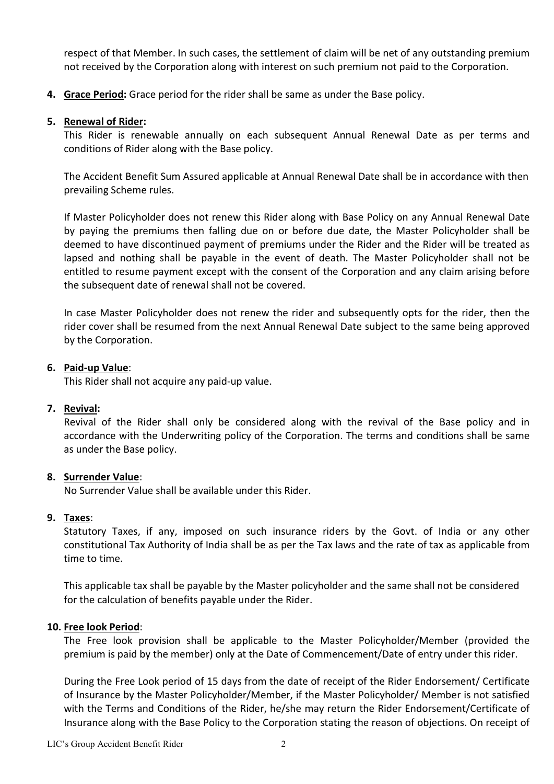respect of that Member. In such cases, the settlement of claim will be net of any outstanding premium not received by the Corporation along with interest on such premium not paid to the Corporation.

4. Grace Period: Grace period for the rider shall be same as under the Base policy.

#### 5. Renewal of Rider:

This Rider is renewable annually on each subsequent Annual Renewal Date as per terms and conditions of Rider along with the Base policy.

The Accident Benefit Sum Assured applicable at Annual Renewal Date shall be in accordance with then prevailing Scheme rules.

If Master Policyholder does not renew this Rider along with Base Policy on any Annual Renewal Date by paying the premiums then falling due on or before due date, the Master Policyholder shall be deemed to have discontinued payment of premiums under the Rider and the Rider will be treated as lapsed and nothing shall be payable in the event of death. The Master Policyholder shall not be entitled to resume payment except with the consent of the Corporation and any claim arising before the subsequent date of renewal shall not be covered.

In case Master Policyholder does not renew the rider and subsequently opts for the rider, then the rider cover shall be resumed from the next Annual Renewal Date subject to the same being approved by the Corporation.

#### 6. Paid-up Value:

This Rider shall not acquire any paid-up value.

#### 7. Revival:

Revival of the Rider shall only be considered along with the revival of the Base policy and in accordance with the Underwriting policy of the Corporation. The terms and conditions shall be same as under the Base policy.

#### 8. Surrender Value:

No Surrender Value shall be available under this Rider.

#### 9. Taxes:

Statutory Taxes, if any, imposed on such insurance riders by the Govt. of India or any other constitutional Tax Authority of India shall be as per the Tax laws and the rate of tax as applicable from time to time.

This applicable tax shall be payable by the Master policyholder and the same shall not be considered for the calculation of benefits payable under the Rider.

#### 10. Free look Period:

The Free look provision shall be applicable to the Master Policyholder/Member (provided the premium is paid by the member) only at the Date of Commencement/Date of entry under this rider.

During the Free Look period of 15 days from the date of receipt of the Rider Endorsement/ Certificate of Insurance by the Master Policyholder/Member, if the Master Policyholder/ Member is not satisfied with the Terms and Conditions of the Rider, he/she may return the Rider Endorsement/Certificate of Insurance along with the Base Policy to the Corporation stating the reason of objections. On receipt of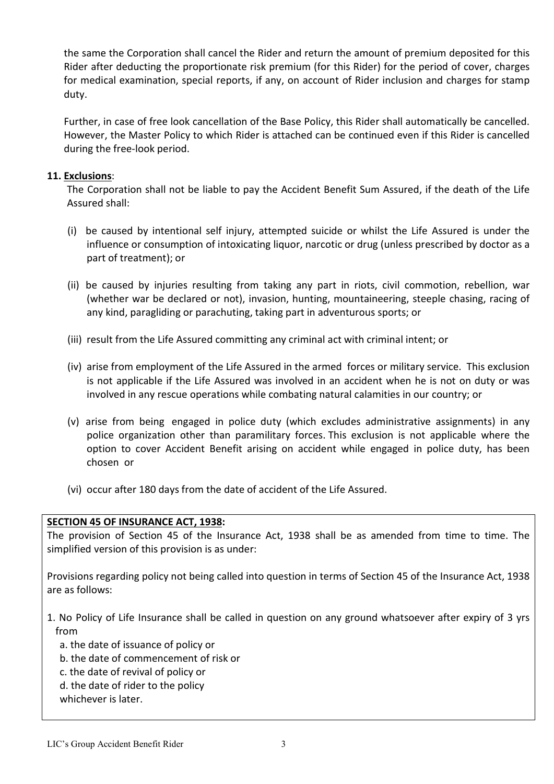the same the Corporation shall cancel the Rider and return the amount of premium deposited for this Rider after deducting the proportionate risk premium (for this Rider) for the period of cover, charges for medical examination, special reports, if any, on account of Rider inclusion and charges for stamp duty.

Further, in case of free look cancellation of the Base Policy, this Rider shall automatically be cancelled. However, the Master Policy to which Rider is attached can be continued even if this Rider is cancelled during the free-look period.

### 11. Exclusions:

The Corporation shall not be liable to pay the Accident Benefit Sum Assured, if the death of the Life Assured shall:

- (i) be caused by intentional self injury, attempted suicide or whilst the Life Assured is under the influence or consumption of intoxicating liquor, narcotic or drug (unless prescribed by doctor as a part of treatment); or
- (ii) be caused by injuries resulting from taking any part in riots, civil commotion, rebellion, war (whether war be declared or not), invasion, hunting, mountaineering, steeple chasing, racing of any kind, paragliding or parachuting, taking part in adventurous sports; or
- (iii) result from the Life Assured committing any criminal act with criminal intent; or
- (iv) arise from employment of the Life Assured in the armed forces or military service. This exclusion is not applicable if the Life Assured was involved in an accident when he is not on duty or was involved in any rescue operations while combating natural calamities in our country; or
- (v) arise from being engaged in police duty (which excludes administrative assignments) in any police organization other than paramilitary forces. This exclusion is not applicable where the option to cover Accident Benefit arising on accident while engaged in police duty, has been chosen or
- (vi) occur after 180 days from the date of accident of the Life Assured.

#### SECTION 45 OF INSURANCE ACT, 1938:

The provision of Section 45 of the Insurance Act, 1938 shall be as amended from time to time. The simplified version of this provision is as under:

Provisions regarding policy not being called into question in terms of Section 45 of the Insurance Act, 1938 are as follows:

- 1. No Policy of Life Insurance shall be called in question on any ground whatsoever after expiry of 3 yrs from
	- a. the date of issuance of policy or
	- b. the date of commencement of risk or
	- c. the date of revival of policy or
	- d. the date of rider to the policy
	- whichever is later.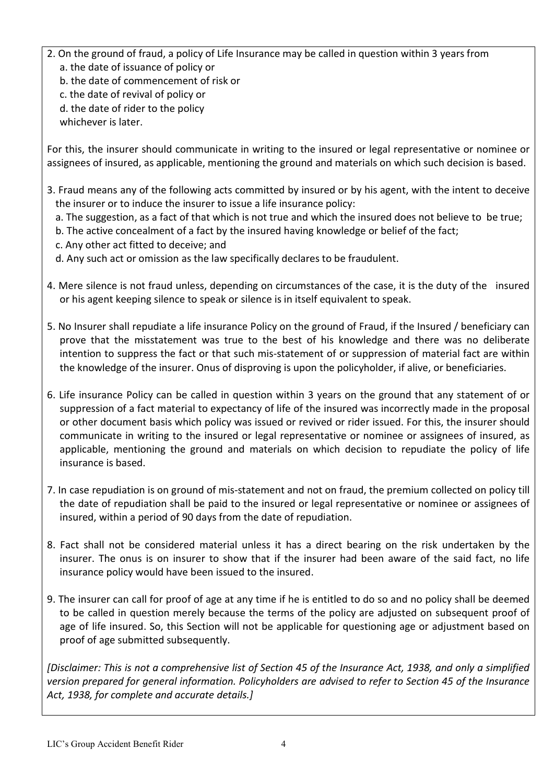- 2. On the ground of fraud, a policy of Life Insurance may be called in question within 3 years from a. the date of issuance of policy or
	- b. the date of commencement of risk or
	- c. the date of revival of policy or
	- d. the date of rider to the policy
	- whichever is later.

For this, the insurer should communicate in writing to the insured or legal representative or nominee or assignees of insured, as applicable, mentioning the ground and materials on which such decision is based.

- 3. Fraud means any of the following acts committed by insured or by his agent, with the intent to deceive the insurer or to induce the insurer to issue a life insurance policy:
	- a. The suggestion, as a fact of that which is not true and which the insured does not believe to be true;
	- b. The active concealment of a fact by the insured having knowledge or belief of the fact;
	- c. Any other act fitted to deceive; and
	- d. Any such act or omission as the law specifically declares to be fraudulent.
- 4. Mere silence is not fraud unless, depending on circumstances of the case, it is the duty of the insured or his agent keeping silence to speak or silence is in itself equivalent to speak.
- 5. No Insurer shall repudiate a life insurance Policy on the ground of Fraud, if the Insured / beneficiary can prove that the misstatement was true to the best of his knowledge and there was no deliberate intention to suppress the fact or that such mis-statement of or suppression of material fact are within the knowledge of the insurer. Onus of disproving is upon the policyholder, if alive, or beneficiaries.
- 6. Life insurance Policy can be called in question within 3 years on the ground that any statement of or suppression of a fact material to expectancy of life of the insured was incorrectly made in the proposal or other document basis which policy was issued or revived or rider issued. For this, the insurer should communicate in writing to the insured or legal representative or nominee or assignees of insured, as applicable, mentioning the ground and materials on which decision to repudiate the policy of life insurance is based.
- 7. In case repudiation is on ground of mis-statement and not on fraud, the premium collected on policy till the date of repudiation shall be paid to the insured or legal representative or nominee or assignees of insured, within a period of 90 days from the date of repudiation.
- 8. Fact shall not be considered material unless it has a direct bearing on the risk undertaken by the insurer. The onus is on insurer to show that if the insurer had been aware of the said fact, no life insurance policy would have been issued to the insured.
- 9. The insurer can call for proof of age at any time if he is entitled to do so and no policy shall be deemed to be called in question merely because the terms of the policy are adjusted on subsequent proof of age of life insured. So, this Section will not be applicable for questioning age or adjustment based on proof of age submitted subsequently.

[Disclaimer: This is not a comprehensive list of Section 45 of the Insurance Act, 1938, and only a simplified version prepared for general information. Policyholders are advised to refer to Section 45 of the Insurance Act, 1938, for complete and accurate details.]